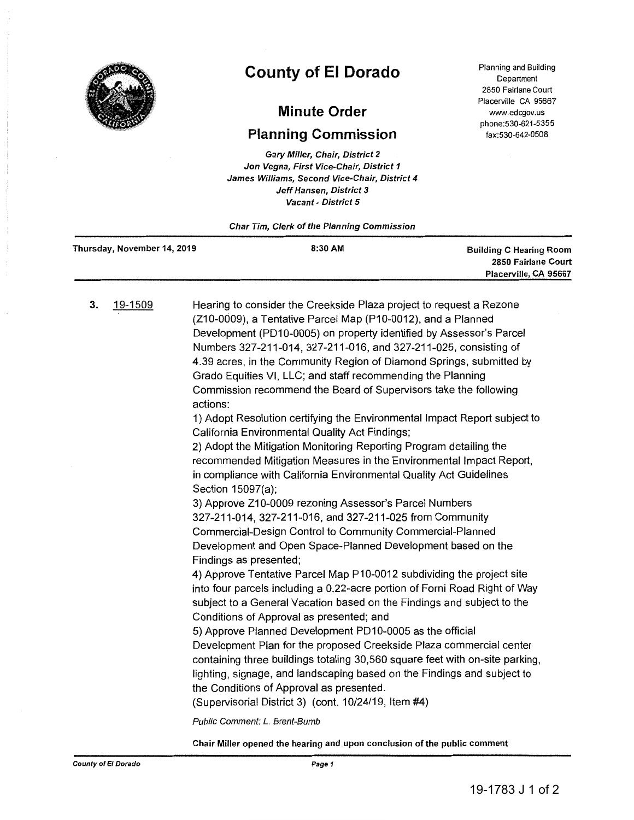

## **County of El Dorado**

## **Minute Order**

## **Planning Commission**

Gary Miller, Chair, District 2 Jon Vegna, First Vice-Chair, District 1 James Williams, Second Vice-Chair, District 4 Jeff Hansen, District 3 Vacant - District 5

Char Tim, Clerk of the Planning Commission

Planning and Building Department 2850 Fairlane Court Placerville CA 95667 www.edcgov.us phone:530-621-5355 fax:530-642-0508

| Thursday, November 14, 2019 | 8:30 AM | <b>Building C Hearing Room</b> |
|-----------------------------|---------|--------------------------------|
|                             |         | 2850 Fairlane Court            |
|                             |         | Placerville, CA 95667          |

3. 19-1509 Hearing to consider the Creekside Plaza project to request a Rezone (Z10-0009), a Tentative Parcel Map (P10-0012), and a Planned Development (PD10-0005) on property identified by Assessor's Parcel Numbers 327-211-014, 327-211-016, and 327-211-025, consisting of 4.39 acres, in the Community Region of Diamond Springs, submitted by Grado Equities VI, LLC; and staff recommending the Planning Commission recommend the Board of Supervisors take the following actions:

1) Adopt Resolution certifying the Environmental Impact Report subject to California Environmental Quality Act Findings;

2) Adopt the Mitigation Monitoring Reporting Program detailing the recommended Mitigation Measures in the Environmental Impact Report, in compliance with California Environmental Quality Act Guidelines Section 15097(a);

3) Approve Z10-0009 rezoning Assessor's Parcel Numbers 327-211-014, 327-211-016, and 327-211-025 from Community Commercial-Design Control to Community Commercial-Planned Development and Open Space-Planned Development based on the Findings as presented;

4) Approve Tentative Parcel Map P10-0012 subdividing the project site into four parcels including a 0.22-acre portion of Forni Road Right of Way subject to a General Vacation based on the Findings and subject to the Conditions of Approval as presented; and

5) Approve Planned Development PD10-0005 as the official Development Plan for the proposed Creekside Plaza commercial center containing three buildings totaling 30,560 square feet with on-site parking, lighting, signage, and landscaping based on the Findings and subject to the Conditions of Approval as presented.

(Supervisorial District 3) (cont. 10/24/19, Item #4)

Public Comment: *L.* Brent-Bumb

Chair Miller opened the hearing and upon conclusion of the public comment